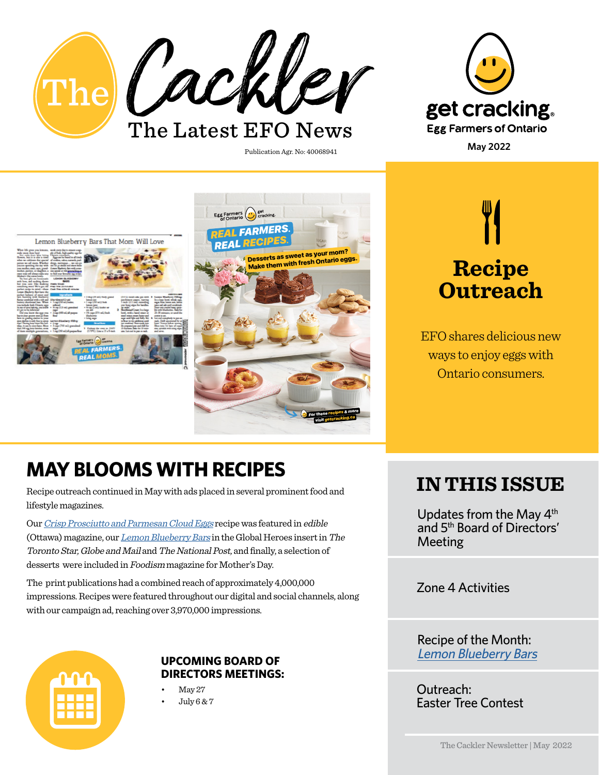



Publication Agr. No: 40068941







EFO shares delicious new ways to enjoy eggs with Ontario consumers.

## **MAY BLOOMS WITH RECIPES**

Recipe outreach continued in May with ads placed in several prominent food and lifestyle magazines.

Our [Crisp Prosciutto and Parmesan Cloud Eggs](https://www.getcracking.ca/recipes/crisp-prosciutto-parmesan-cloud-eggs) recipe was featured in edible (Ottawa) magazine, our [Lemon Blueberry Bars](https://www.getcracking.ca/recipes/lemon-blueberry-bars) in the Global Heroes insert in The Toronto Star, Globe and Mail and The National Post, and finally, a selection of desserts were included in Foodism magazine for Mother's Day.

The print publications had a combined reach of approximately 4,000,000 impressions. Recipes were featured throughout our digital and social channels, along with our campaign ad, reaching over 3,970,000 impressions.



# **DIRECTORS MEETINGS:**

May 27

• July 6 & 7

## **IN THIS ISSUE**

Updates from the May 4<sup>th</sup> and 5th Board of Directors' Meeting

Zone 4 Activities

Recipe of the Month: [Lemon Blueberry Bars](https://www.getcracking.ca/recipes/lemon-blueberry-bars) **UPCOMING BOARD OF** 

> Outreach: Easter Tree Contest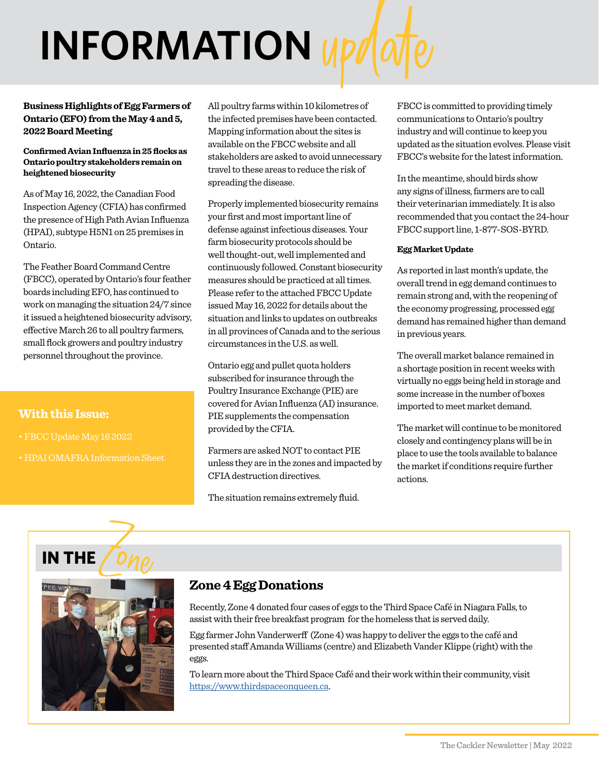# **INFORMATION**

#### **Business Highlights of Egg Farmers of Ontario (EFO) from the May 4 and 5, 2022 Board Meeting**

#### **Confirmed Avian Influenza in 25 flocks as Ontario poultry stakeholders remain on heightened biosecurity**

As of May 16, 2022, the Canadian Food Inspection Agency (CFIA) has confirmed the presence of High Path Avian Influenza (HPAI), subtype H5N1 on 25 premises in Ontario.

The Feather Board Command Centre (FBCC), operated by Ontario's four feather boards including EFO, has continued to work on managing the situation 24/7 since it issued a heightened biosecurity advisory, effective March 26 to all poultry farmers, small flock growers and poultry industry personnel throughout the province.

## **With this Issue:**

- 
- 

All poultry farms within 10 kilometres of the infected premises have been contacted. Mapping information about the sites is available on the FBCC website and all stakeholders are asked to avoid unnecessary travel to these areas to reduce the risk of spreading the disease.

Properly implemented biosecurity remains your first and most important line of defense against infectious diseases. Your farm biosecurity protocols should be well thought-out, well implemented and continuously followed. Constant biosecurity measures should be practiced at all times. Please refer to the attached FBCC Update issued May 16, 2022 for details about the situation and links to updates on outbreaks in all provinces of Canada and to the serious circumstances in the U.S. as well.

Ontario egg and pullet quota holders subscribed for insurance through the Poultry Insurance Exchange (PIE) are covered for Avian Influenza (AI) insurance. PIE supplements the compensation provided by the CFIA.

Farmers are asked NOT to contact PIE unless they are in the zones and impacted by CFIA destruction directives.

The situation remains extremely fluid.

FBCC is committed to providing timely communications to Ontario's poultry industry and will continue to keep you updated as the situation evolves. Please visit FBCC's website for the latest information.

In the meantime, should birds show any signs of illness, farmers are to call their veterinarian immediately. It is also recommended that you contact the 24-hour FBCC support line, 1-877-SOS-BYRD.

#### **Egg Market Update**

As reported in last month's update, the overall trend in egg demand continues to remain strong and, with the reopening of the economy progressing, processed egg demand has remained higher than demand in previous years.

The overall market balance remained in a shortage position in recent weeks with virtually no eggs being held in storage and some increase in the number of boxes imported to meet market demand.

The market will continue to be monitored closely and contingency plans will be in place to use the tools available to balance the market if conditions require further actions.



## **Zone 4 Egg Donations**

Recently, Zone 4 donated four cases of eggs to the Third Space Café in Niagara Falls, to assist with their free breakfast program for the homeless that is served daily.

Egg farmer John Vanderwerff (Zone 4) was happy to deliver the eggs to the café and presented staff Amanda Williams (centre) and Elizabeth Vander Klippe (right) with the eggs.

To learn more about the Third Space Café and their work within their community, visit [https://www.thirdspaceonqueen.ca.](https://www.thirdspaceonqueen.ca)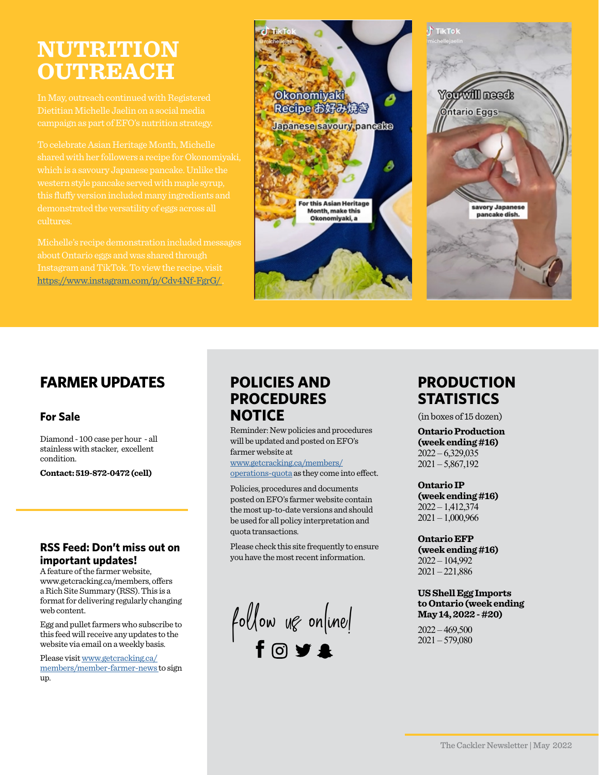# **NUTRITION OUTREACH**

Dietitian Michelle Jaelin on a social media

To celebrate Asian Heritage Month, Michelle shared with her followers a recipe for Okonomiyaki, demonstrated the versatility of eggs across all cultures.

about Ontario eggs and was shared through [https://www.instagram.com/p/Cdv4Nf-FgrG/ .](https://www.instagram.com/p/Cdv4Nf-FgrG/ )



## **FARMER UPDATES**

## **For Sale**

Diamond - 100 case per hour - all stainless with stacker, excellent condition.

**Contact: 519-872-0472 (cell)**

## **RSS Feed: Don't miss out on important updates!**

A feature of the farmer website, www.getcracking.ca/members, offers a Rich Site Summary (RSS). This is a format for delivering regularly changing web content.

Egg and pullet farmers who subscribe to this feed will receive any updates to the website via email on a weekly basis.

Please visit www.getcracking.ca/ [members/member-farmer-news](www.getcracking.ca/members/member-farmer-news) to sign up.

## **POLICIES AND PROCEDURES NOTICE**

Reminder: New policies and procedures will be updated and posted on EFO's farmer website at

www.getcracking.ca/members/ [operations-quota as they come in](www.getcracking.ca/members/operations-quota)to effect.

Policies, procedures and documents posted on EFO's farmer website contain the most up-to-date versions and should be used for all policy interpretation and quota transactions.

Please check this site frequently to ensure you have the most recent information.

 $f$ ollow ug online!

## **PRODUCTION STATISTICS**

(in boxes of 15 dozen)

**Ontario Production (week ending #16)**  $2022 - 6,329,035$  $2021 - 5,867,192$ 

## **Ontario IP**

**(week ending #16)** 2022 – 1,412,374 2021 – 1,000,966

**Ontario EFP (week ending #16)** 2022 – 104,992 2021 – 221,886

#### **US Shell Egg Imports to Ontario (week ending May 14, 2022 - #20)**

 $2022 - 469,500$  $2021 - 579,080$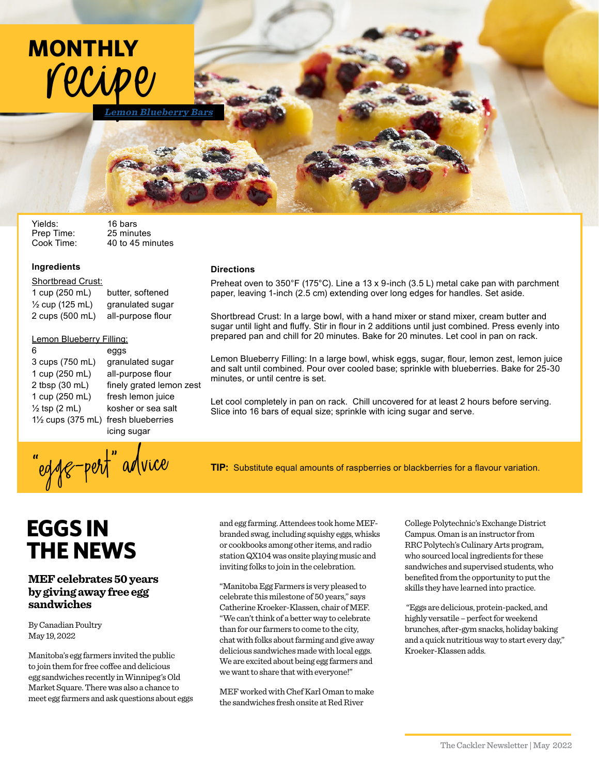

Yields: 16 bars<br>Prep Time: 25 minutes Prep Time:<br>Cook Time:

40 to 45 minutes

**Directions**

minutes, or until centre is set.

#### **Ingredients**

Shortbread Crust:

1 cup (250 mL) butter, softened  $\frac{1}{2}$  cup (125 mL) granulated sugar 2 cups (500 mL) all-purpose flour

# Lemon Blueberry Filling:

# 6 eggs 1 cup (250 mL) all-purpose flour

3 cups (750 mL) granulated sugar 2 tbsp (30 mL) finely grated lemon zest 1 cup (250 mL) fresh lemon juice  $\frac{1}{2}$  tsp (2 mL) kosher or sea salt 1½ cups (375 mL) fresh blueberries icing sugar

**TIP:** Substitute equal amounts of raspberries or blackberries for a flavour variation.

Preheat oven to 350°F (175°C). Line a 13 x 9-inch (3.5 L) metal cake pan with parchment

Lemon Blueberry Filling: In a large bowl, whisk eggs, sugar, flour, lemon zest, lemon juice and salt until combined. Pour over cooled base; sprinkle with blueberries. Bake for 25-30

Let cool completely in pan on rack. Chill uncovered for at least 2 hours before serving.

Slice into 16 bars of equal size; sprinkle with icing sugar and serve.

Shortbread Crust: In a large bowl, with a hand mixer or stand mixer, cream butter and sugar until light and fluffy. Stir in flour in 2 additions until just combined. Press evenly into prepared pan and chill for 20 minutes. Bake for 20 minutes. Let cool in pan on rack.

paper, leaving 1-inch (2.5 cm) extending over long edges for handles. Set aside.

# **EGGS IN THE NEWS**

### **MEF celebrates 50 years by giving away free egg sandwiches**

By Canadian Poultry May 19, 2022

Manitoba's egg farmers invited the public to join them for free coffee and delicious egg sandwiches recently in Winnipeg's Old Market Square. There was also a chance to meet egg farmers and ask questions about eggs and egg farming. Attendees took home MEFbranded swag, including squishy eggs, whisks or cookbooks among other items, and radio station QX104 was onsite playing music and inviting folks to join in the celebration.

"Manitoba Egg Farmers is very pleased to celebrate this milestone of 50 years," says Catherine Kroeker-Klassen, chair of MEF. "We can't think of a better way to celebrate than for our farmers to come to the city, chat with folks about farming and give away delicious sandwiches made with local eggs. We are excited about being egg farmers and we want to share that with everyone!"

MEF worked with Chef Karl Oman to make the sandwiches fresh onsite at Red River

College Polytechnic's Exchange District Campus. Oman is an instructor from RRC Polytech's Culinary Arts program, who sourced local ingredients for these sandwiches and supervised students, who benefited from the opportunity to put the skills they have learned into practice.

 "Eggs are delicious, protein-packed, and highly versatile – perfect for weekend brunches, after-gym snacks, holiday baking and a quick nutritious way to start every day," Kroeker-Klassen adds.